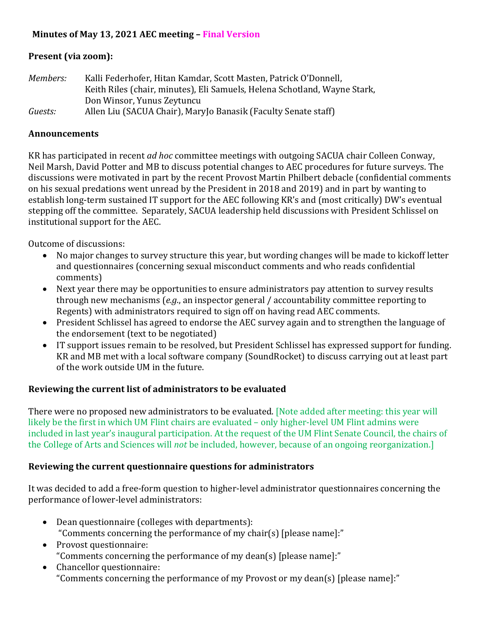# **Minutes of May 13, 2021 AEC meeting - Final Version**

## **Present (via zoom):**

| Members: | Kalli Federhofer, Hitan Kamdar, Scott Masten, Patrick O'Donnell,          |
|----------|---------------------------------------------------------------------------|
|          | Keith Riles (chair, minutes), Eli Samuels, Helena Schotland, Wayne Stark, |
|          | Don Winsor, Yunus Zeytuncu                                                |
| Guests:  | Allen Liu (SACUA Chair), Mary Jo Banasik (Faculty Senate staff)           |

### **Announcements**

KR has participated in recent *ad hoc* committee meetings with outgoing SACUA chair Colleen Conway, Neil Marsh, David Potter and MB to discuss potential changes to AEC procedures for future surveys. The discussions were motivated in part by the recent Provost Martin Philbert debacle (confidential comments on his sexual predations went unread by the President in 2018 and 2019) and in part by wanting to establish long-term sustained IT support for the AEC following KR's and (most critically) DW's eventual stepping off the committee. Separately, SACUA leadership held discussions with President Schlissel on institutional support for the AEC.

Outcome of discussions:

- No major changes to survey structure this year, but wording changes will be made to kickoff letter and questionnaires (concerning sexual misconduct comments and who reads confidential comments)
- Next year there may be opportunities to ensure administrators pay attention to survey results through new mechanisms (*e.g.*, an inspector general / accountability committee reporting to Regents) with administrators required to sign off on having read AEC comments.
- President Schlissel has agreed to endorse the AEC survey again and to strengthen the language of the endorsement (text to be negotiated)
- IT support issues remain to be resolved, but President Schlissel has expressed support for funding. KR and MB met with a local software company (SoundRocket) to discuss carrying out at least part of the work outside UM in the future.

# **Reviewing the current list of administrators to be evaluated**

There were no proposed new administrators to be evaluated. [Note added after meeting: this year will likely be the first in which UM Flint chairs are evaluated – only higher-level UM Flint admins were included in last year's inaugural participation. At the request of the UM Flint Senate Council, the chairs of the College of Arts and Sciences will *not* be included, however, because of an ongoing reorganization.]

## **Reviewing the current questionnaire questions for administrators**

It was decided to add a free-form question to higher-level administrator questionnaires concerning the performance of lower-level administrators:

- $\bullet$  Dean questionnaire (colleges with departments): "Comments concerning the performance of my chair(s) [please name]:"
- Provost questionnaire: "Comments concerning the performance of my dean(s) [please name]:"
- Chancellor questionnaire: "Comments concerning the performance of my Provost or my dean(s) [please name]:"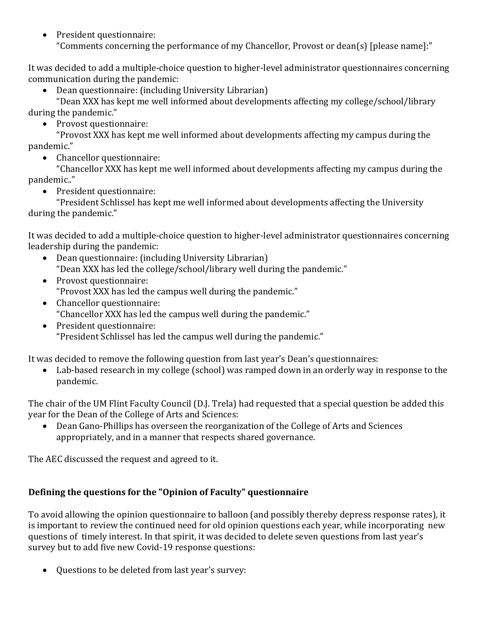• President questionnaire: "Comments concerning the performance of my Chancellor, Provost or dean(s) [please name]:"

It was decided to add a multiple-choice question to higher-level administrator questionnaires concerning communication during the pandemic:

Dean questionnaire: (including University Librarian)

"Dean XXX has kept me well informed about developments affecting my college/school/library during the pandemic."

Provost questionnaire:

"Provost XXX has kept me well informed about developments affecting my campus during the pandemic."

• Chancellor questionnaire:

"Chancellor XXX has kept me well informed about developments affecting my campus during the pandemic.."

• President questionnaire:

"President Schlissel has kept me well informed about developments affecting the University during the pandemic."

It was decided to add a multiple-choice question to higher-level administrator questionnaires concerning leadership during the pandemic:

- Dean questionnaire: (including University Librarian) "Dean XXX has led the college/school/library well during the pandemic."
- Provost questionnaire: "Provost XXX has led the campus well during the pandemic."
- Chancellor questionnaire: "Chancellor XXX has led the campus well during the pandemic."
- President questionnaire: "President Schlissel has led the campus well during the pandemic."

It was decided to remove the following question from last year's Dean's questionnaires:

Lab-based research in my college (school) was ramped down in an orderly way in response to the pandemic.

The chair of the UM Flint Faculty Council (D.J. Trela) had requested that a special question be added this year for the Dean of the College of Arts and Sciences:

• Dean Gano-Phillips has overseen the reorganization of the College of Arts and Sciences appropriately, and in a manner that respects shared governance.

The AEC discussed the request and agreed to it.

# Defining the questions for the "Opinion of Faculty" questionnaire

To avoid allowing the opinion questionnaire to balloon (and possibly thereby depress response rates), it is important to review the continued need for old opinion questions each year, while incorporating new questions of timely interest. In that spirit, it was decided to delete seven questions from last year's survey but to add five new Covid-19 response questions:

• Ouestions to be deleted from last year's survey: